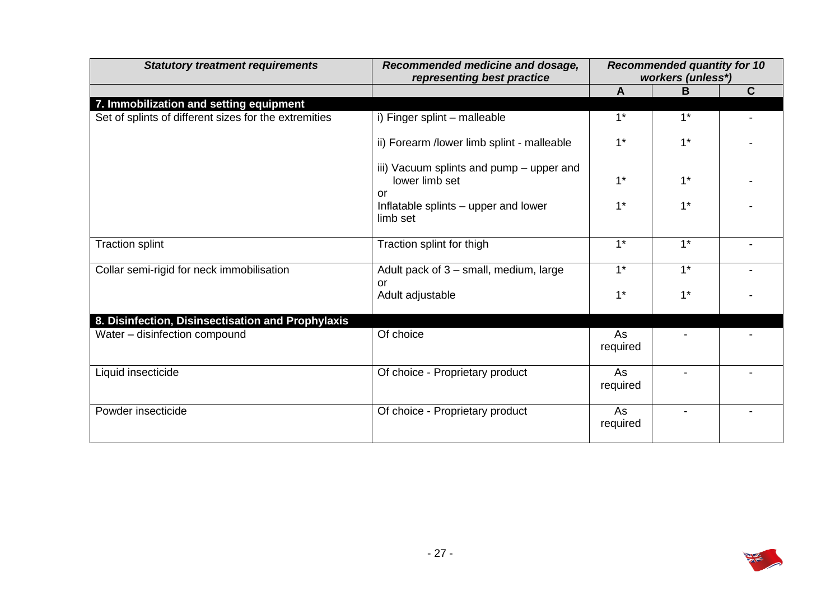| <b>Statutory treatment requirements</b>               | Recommended medicine and dosage,<br>representing best practice   | <b>Recommended quantity for 10</b><br>workers (unless*) |                |   |
|-------------------------------------------------------|------------------------------------------------------------------|---------------------------------------------------------|----------------|---|
|                                                       |                                                                  | $\mathbf{A}$                                            | B              | C |
| 7. Immobilization and setting equipment               |                                                                  |                                                         |                |   |
| Set of splints of different sizes for the extremities | i) Finger splint - malleable                                     | $1^*$                                                   | $1^*$          |   |
|                                                       | ii) Forearm /lower limb splint - malleable                       | $1*$                                                    | $1*$           |   |
|                                                       | iii) Vacuum splints and pump - upper and<br>lower limb set<br>or | $1*$                                                    | $1*$           |   |
|                                                       | Inflatable splints - upper and lower<br>limb set                 | $1*$                                                    | $1*$           |   |
| <b>Traction splint</b>                                | Traction splint for thigh                                        | $1*$                                                    | $1^*$          |   |
| Collar semi-rigid for neck immobilisation             | Adult pack of 3 - small, medium, large<br><b>or</b>              | $1*$                                                    | $1*$           |   |
|                                                       | Adult adjustable                                                 | $1*$                                                    | $1*$           |   |
| 8. Disinfection, Disinsectisation and Prophylaxis     |                                                                  |                                                         |                |   |
| Water - disinfection compound                         | Of choice                                                        | As<br>required                                          |                |   |
| Liquid insecticide                                    | Of choice - Proprietary product                                  | As<br>required                                          |                |   |
| Powder insecticide                                    | Of choice - Proprietary product                                  | As<br>required                                          | $\blacksquare$ |   |

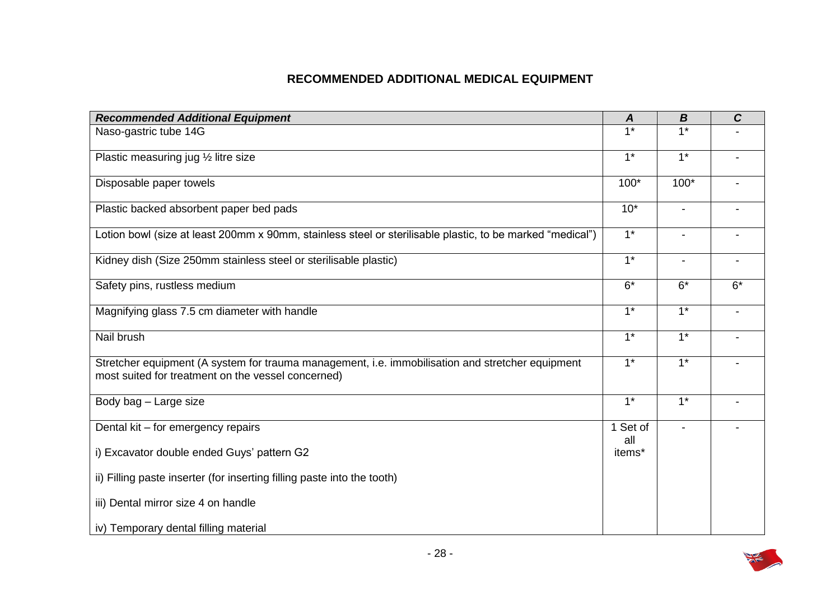## **RECOMMENDED ADDITIONAL MEDICAL EQUIPMENT**

| <b>Recommended Additional Equipment</b>                                                                                                                | A               | $\boldsymbol{B}$ | $\mathbf C$ |
|--------------------------------------------------------------------------------------------------------------------------------------------------------|-----------------|------------------|-------------|
| Naso-gastric tube 14G                                                                                                                                  | $1*$            | $1*$             |             |
| Plastic measuring jug 1/2 litre size                                                                                                                   | $1*$            | $1^*$            |             |
| Disposable paper towels                                                                                                                                | $100*$          | $100*$           |             |
| Plastic backed absorbent paper bed pads                                                                                                                | $10*$           | $\blacksquare$   |             |
| Lotion bowl (size at least 200mm x 90mm, stainless steel or sterilisable plastic, to be marked "medical")                                              | $1^*$           |                  |             |
| Kidney dish (Size 250mm stainless steel or sterilisable plastic)                                                                                       | $1^*$           | $\blacksquare$   |             |
| Safety pins, rustless medium                                                                                                                           | $6*$            | $6*$             | $6*$        |
| Magnifying glass 7.5 cm diameter with handle                                                                                                           | $1*$            | $1*$             |             |
| Nail brush                                                                                                                                             | $1*$            | $1*$             |             |
| Stretcher equipment (A system for trauma management, i.e. immobilisation and stretcher equipment<br>most suited for treatment on the vessel concerned) | $1^*$           | $1^*$            |             |
| Body bag - Large size                                                                                                                                  | $1^*$           | $1^*$            |             |
| Dental kit - for emergency repairs                                                                                                                     | 1 Set of<br>all |                  |             |
| i) Excavator double ended Guys' pattern G2                                                                                                             | items*          |                  |             |
| ii) Filling paste inserter (for inserting filling paste into the tooth)                                                                                |                 |                  |             |
| iii) Dental mirror size 4 on handle                                                                                                                    |                 |                  |             |
| iv) Temporary dental filling material                                                                                                                  |                 |                  |             |

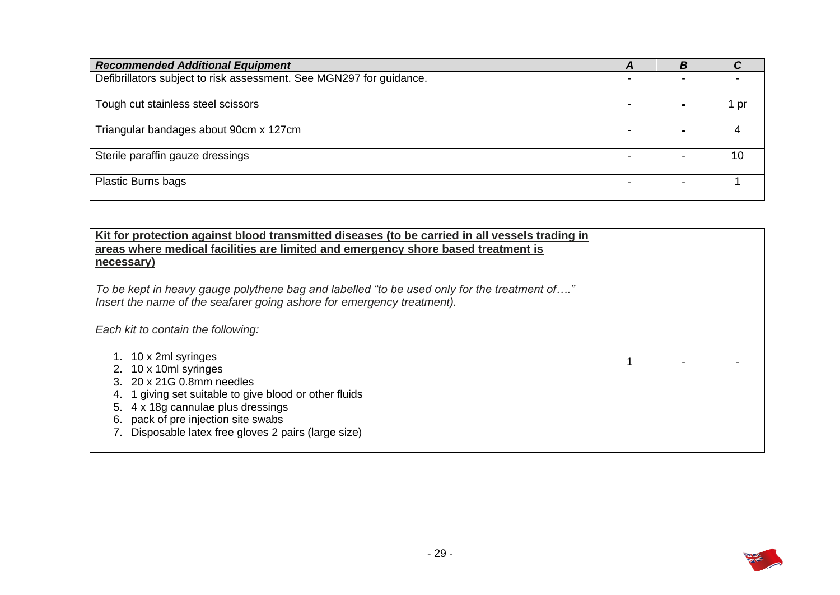| <b>Recommended Additional Equipment</b>                             | A | В |      |
|---------------------------------------------------------------------|---|---|------|
| Defibrillators subject to risk assessment. See MGN297 for guidance. |   |   |      |
| Tough cut stainless steel scissors                                  |   |   | l pr |
| Triangular bandages about 90cm x 127cm                              |   |   |      |
| Sterile paraffin gauze dressings                                    |   |   | 10   |
| <b>Plastic Burns bags</b>                                           |   |   |      |

| Kit for protection against blood transmitted diseases (to be carried in all vessels trading in<br>areas where medical facilities are limited and emergency shore based treatment is<br>necessary)                                                                |  |  |
|------------------------------------------------------------------------------------------------------------------------------------------------------------------------------------------------------------------------------------------------------------------|--|--|
| To be kept in heavy gauge polythene bag and labelled "to be used only for the treatment of"<br>Insert the name of the seafarer going ashore for emergency treatment).                                                                                            |  |  |
| Each kit to contain the following:                                                                                                                                                                                                                               |  |  |
| 10 x 2ml syringes<br>10 x 10ml syringes<br>20 x 21G 0.8mm needles<br>1 giving set suitable to give blood or other fluids<br>4 x 18g cannulae plus dressings<br>5.<br>pack of pre injection site swabs<br>6.<br>Disposable latex free gloves 2 pairs (large size) |  |  |

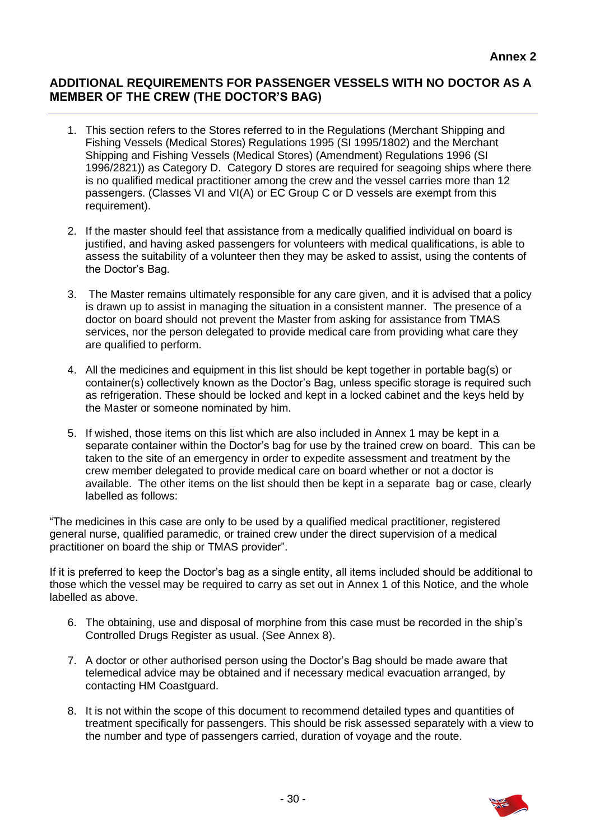### **ADDITIONAL REQUIREMENTS FOR PASSENGER VESSELS WITH NO DOCTOR AS A MEMBER OF THE CREW (THE DOCTOR'S BAG)**

- 1. This section refers to the Stores referred to in the Regulations (Merchant Shipping and Fishing Vessels (Medical Stores) Regulations 1995 (SI 1995/1802) and the Merchant Shipping and Fishing Vessels (Medical Stores) (Amendment) Regulations 1996 (SI 1996/2821)) as Category D. Category D stores are required for seagoing ships where there is no qualified medical practitioner among the crew and the vessel carries more than 12 passengers. (Classes VI and VI(A) or EC Group C or D vessels are exempt from this requirement).
- 2. If the master should feel that assistance from a medically qualified individual on board is justified, and having asked passengers for volunteers with medical qualifications, is able to assess the suitability of a volunteer then they may be asked to assist, using the contents of the Doctor's Bag.
- 3. The Master remains ultimately responsible for any care given, and it is advised that a policy is drawn up to assist in managing the situation in a consistent manner. The presence of a doctor on board should not prevent the Master from asking for assistance from TMAS services, nor the person delegated to provide medical care from providing what care they are qualified to perform.
- container(s) collectively known as the Doctor's Bag, unless specific storage is required such as refrigeration. These should be locked and kept in a locked cabinet and the keys held by the Master or someone nominated by him. 4. All the medicines and equipment in this list should be kept together in portable bag(s) or
- 5. If wished, those items on this list which are also included in Annex 1 may be kept in a separate container within the Doctor's bag for use by the trained crew on board. This can be taken to the site of an emergency in order to expedite assessment and treatment by the crew member delegated to provide medical care on board whether or not a doctor is available. The other items on the list should then be kept in a separate bag or case, clearly labelled as follows:

 "The medicines in this case are only to be used by a qualified medical practitioner, registered general nurse, qualified paramedic, or trained crew under the direct supervision of a medical practitioner on board the ship or TMAS provider".

 If it is preferred to keep the Doctor's bag as a single entity, all items included should be additional to those which the vessel may be required to carry as set out in Annex 1 of this Notice, and the whole labelled as above.

- 6. The obtaining, use and disposal of morphine from this case must be recorded in the ship's Controlled Drugs Register as usual. (See Annex 8).
- 7. A doctor or other authorised person using the Doctor's Bag should be made aware that telemedical advice may be obtained and if necessary medical evacuation arranged, by contacting HM Coastguard.
- 8. It is not within the scope of this document to recommend detailed types and quantities of treatment specifically for passengers. This should be risk assessed separately with a view to the number and type of passengers carried, duration of voyage and the route.

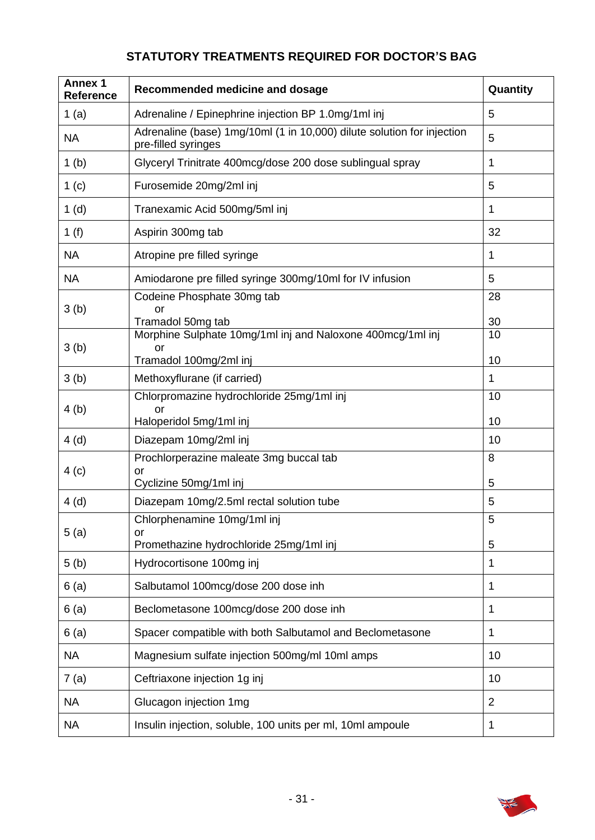# **STATUTORY TREATMENTS REQUIRED FOR DOCTOR'S BAG**

| <b>Annex 1</b><br>Reference | Recommended medicine and dosage                                                               | Quantity       |
|-----------------------------|-----------------------------------------------------------------------------------------------|----------------|
| 1 $(a)$                     | Adrenaline / Epinephrine injection BP 1.0mg/1ml inj                                           | 5              |
| <b>NA</b>                   | Adrenaline (base) 1mg/10ml (1 in 10,000) dilute solution for injection<br>pre-filled syringes | 5              |
| 1 <sub>(b)</sub>            | Glyceryl Trinitrate 400mcg/dose 200 dose sublingual spray                                     | 1              |
| 1 <sub>(c)</sub>            | Furosemide 20mg/2ml inj                                                                       | 5              |
| 1(d)                        | Tranexamic Acid 500mg/5ml inj                                                                 | 1              |
| 1 $(f)$                     | Aspirin 300mg tab                                                                             | 32             |
| <b>NA</b>                   | Atropine pre filled syringe                                                                   | 1              |
| <b>NA</b>                   | Amiodarone pre filled syringe 300mg/10ml for IV infusion                                      | 5              |
| 3(b)                        | Codeine Phosphate 30mg tab<br>or                                                              | 28             |
|                             | Tramadol 50mg tab                                                                             | 30             |
| 3(b)                        | Morphine Sulphate 10mg/1ml inj and Naloxone 400mcg/1ml inj<br>or                              | 10             |
|                             | Tramadol 100mg/2ml inj                                                                        | 10             |
| 3(b)                        | Methoxyflurane (if carried)                                                                   | 1              |
|                             | Chlorpromazine hydrochloride 25mg/1ml inj                                                     | 10             |
| 4(b)                        | or<br>Haloperidol 5mg/1ml inj                                                                 | 10             |
| 4(d)                        | Diazepam 10mg/2ml inj                                                                         | 10             |
|                             | Prochlorperazine maleate 3mg buccal tab                                                       | 8              |
| 4(c)                        | or<br>Cyclizine 50mg/1ml inj                                                                  | 5              |
| 4(d)                        | Diazepam 10mg/2.5ml rectal solution tube                                                      | 5              |
|                             | Chlorphenamine 10mg/1ml inj                                                                   | 5              |
| 5(a)                        | or<br>Promethazine hydrochloride 25mg/1ml inj                                                 | 5              |
| 5(b)                        | Hydrocortisone 100mg inj                                                                      | 1              |
| 6(a)                        | Salbutamol 100mcg/dose 200 dose inh                                                           | 1              |
| 6(a)                        | Beclometasone 100mcg/dose 200 dose inh                                                        | 1              |
| 6(a)                        | Spacer compatible with both Salbutamol and Beclometasone                                      | 1              |
| <b>NA</b>                   | Magnesium sulfate injection 500mg/ml 10ml amps                                                | 10             |
| 7(a)                        | Ceftriaxone injection 1g inj                                                                  | 10             |
| <b>NA</b>                   | Glucagon injection 1mg                                                                        | $\overline{2}$ |
| <b>NA</b>                   | Insulin injection, soluble, 100 units per ml, 10ml ampoule                                    | 1              |

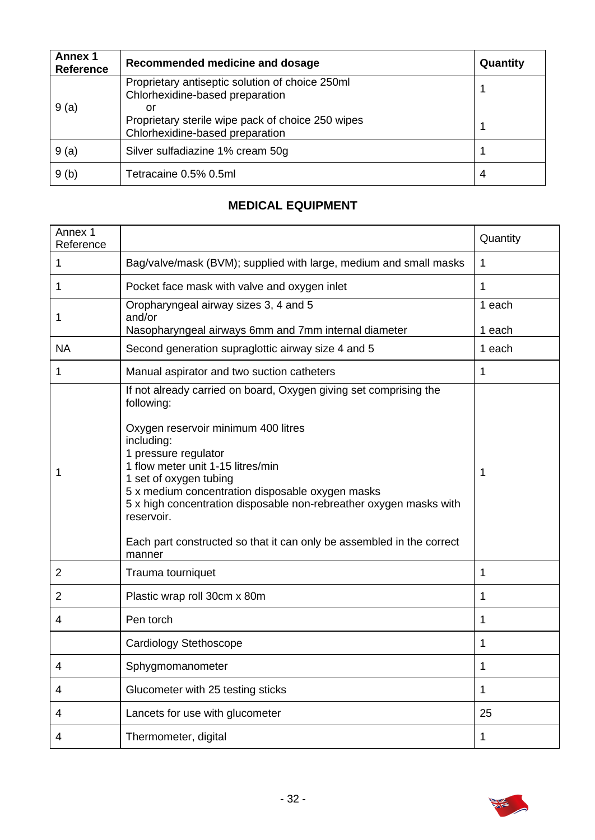| <b>Annex 1</b><br><b>Reference</b> | Recommended medicine and dosage                                                            | Quantity |
|------------------------------------|--------------------------------------------------------------------------------------------|----------|
|                                    | Proprietary antiseptic solution of choice 250ml<br>Chlorhexidine-based preparation         |          |
| 9(a)                               | or<br>Proprietary sterile wipe pack of choice 250 wipes<br>Chlorhexidine-based preparation |          |
| 9(a)                               | Silver sulfadiazine 1% cream 50g                                                           |          |
| 9(b)                               | Tetracaine 0.5% 0.5ml                                                                      | 4        |

## **MEDICAL EQUIPMENT**

| Annex 1<br>Reference |                                                                                                                                                                                                                                                                                                                                                                                                                                                        | Quantity         |
|----------------------|--------------------------------------------------------------------------------------------------------------------------------------------------------------------------------------------------------------------------------------------------------------------------------------------------------------------------------------------------------------------------------------------------------------------------------------------------------|------------------|
| 1                    | Bag/valve/mask (BVM); supplied with large, medium and small masks                                                                                                                                                                                                                                                                                                                                                                                      | 1                |
| 1                    | Pocket face mask with valve and oxygen inlet                                                                                                                                                                                                                                                                                                                                                                                                           | 1                |
| 1                    | Oropharyngeal airway sizes 3, 4 and 5<br>and/or                                                                                                                                                                                                                                                                                                                                                                                                        | 1 each<br>1 each |
| <b>NA</b>            | Nasopharyngeal airways 6mm and 7mm internal diameter<br>Second generation supraglottic airway size 4 and 5                                                                                                                                                                                                                                                                                                                                             | 1 each           |
| 1                    | Manual aspirator and two suction catheters                                                                                                                                                                                                                                                                                                                                                                                                             | 1                |
| 1                    | If not already carried on board, Oxygen giving set comprising the<br>following:<br>Oxygen reservoir minimum 400 litres<br>including:<br>1 pressure regulator<br>1 flow meter unit 1-15 litres/min<br>1 set of oxygen tubing<br>5 x medium concentration disposable oxygen masks<br>5 x high concentration disposable non-rebreather oxygen masks with<br>reservoir.<br>Each part constructed so that it can only be assembled in the correct<br>manner | 1                |
| $\overline{2}$       | Trauma tourniquet                                                                                                                                                                                                                                                                                                                                                                                                                                      | 1                |
| $\overline{2}$       | Plastic wrap roll 30cm x 80m                                                                                                                                                                                                                                                                                                                                                                                                                           | 1                |
| 4                    | Pen torch                                                                                                                                                                                                                                                                                                                                                                                                                                              | 1                |
|                      | Cardiology Stethoscope                                                                                                                                                                                                                                                                                                                                                                                                                                 | 1                |
| 4                    | Sphygmomanometer                                                                                                                                                                                                                                                                                                                                                                                                                                       | 1                |
| 4                    | Glucometer with 25 testing sticks                                                                                                                                                                                                                                                                                                                                                                                                                      | 1                |
| 4                    | Lancets for use with glucometer                                                                                                                                                                                                                                                                                                                                                                                                                        | 25               |
| 4                    | Thermometer, digital                                                                                                                                                                                                                                                                                                                                                                                                                                   | 1                |

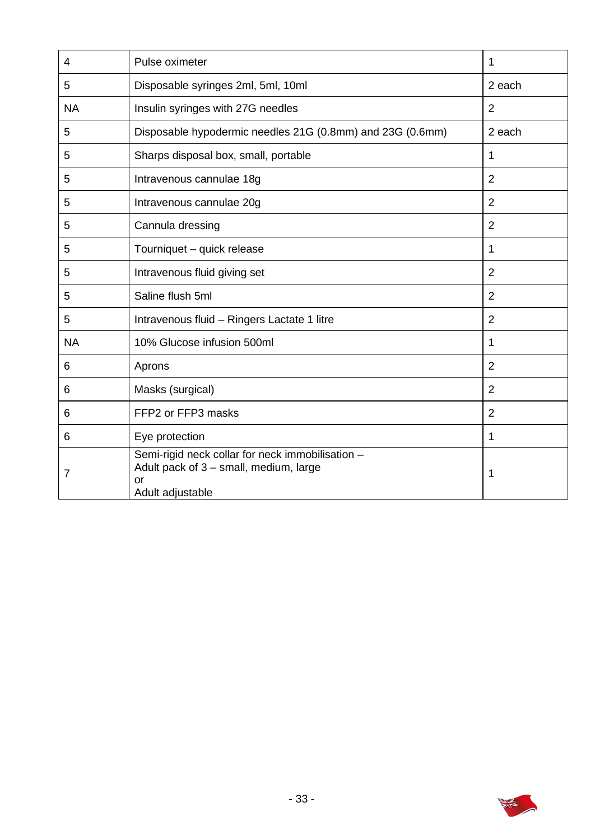| 4         | Pulse oximeter                                                                                                       | 1              |
|-----------|----------------------------------------------------------------------------------------------------------------------|----------------|
| 5         | Disposable syringes 2ml, 5ml, 10ml                                                                                   | 2 each         |
| <b>NA</b> | Insulin syringes with 27G needles                                                                                    | $\overline{2}$ |
| 5         | Disposable hypodermic needles 21G (0.8mm) and 23G (0.6mm)                                                            | 2 each         |
| 5         | Sharps disposal box, small, portable                                                                                 | 1              |
| 5         | Intravenous cannulae 18g                                                                                             | $\overline{2}$ |
| 5         | Intravenous cannulae 20g                                                                                             | $\overline{2}$ |
| 5         | Cannula dressing                                                                                                     | $\overline{2}$ |
| 5         | Tourniquet - quick release                                                                                           | 1              |
| 5         | Intravenous fluid giving set                                                                                         | $\overline{2}$ |
| 5         | Saline flush 5ml                                                                                                     | $\overline{2}$ |
| 5         | Intravenous fluid - Ringers Lactate 1 litre                                                                          | $\overline{2}$ |
| <b>NA</b> | 10% Glucose infusion 500ml                                                                                           | 1              |
| 6         | Aprons                                                                                                               | $\overline{2}$ |
| 6         | Masks (surgical)                                                                                                     | $\overline{2}$ |
| 6         | FFP2 or FFP3 masks                                                                                                   | $\overline{2}$ |
| 6         | Eye protection                                                                                                       | $\mathbf 1$    |
| 7         | Semi-rigid neck collar for neck immobilisation -<br>Adult pack of 3 - small, medium, large<br>or<br>Adult adjustable | 1              |

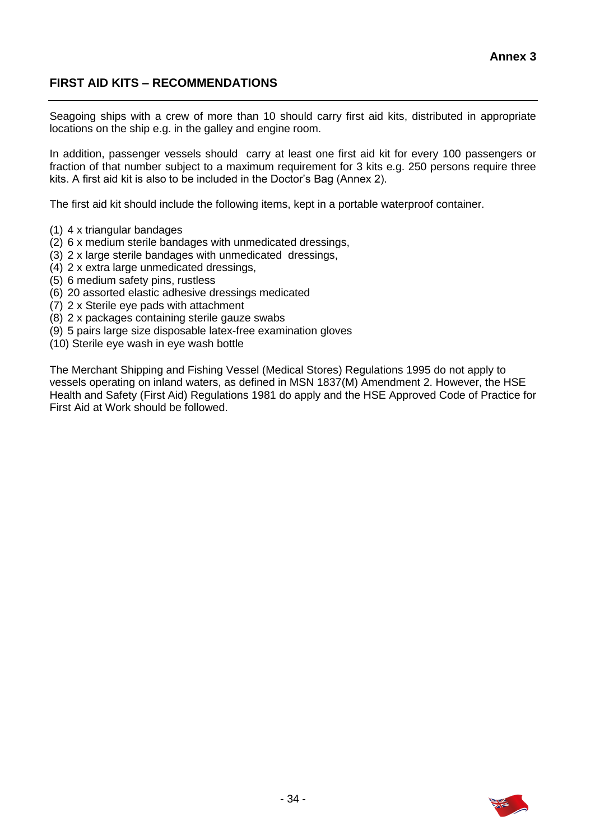## **FIRST AID KITS – RECOMMENDATIONS**

 Seagoing ships with a crew of more than 10 should carry first aid kits, distributed in appropriate locations on the ship e.g. in the galley and engine room.

 In addition, passenger vessels should carry at least one first aid kit for every 100 passengers or fraction of that number subject to a maximum requirement for 3 kits e.g. 250 persons require three kits. A first aid kit is also to be included in the Doctor's Bag (Annex 2).

The first aid kit should include the following items, kept in a portable waterproof container.

- (1) 4 x triangular bandages
- (2) 6 x medium sterile bandages with unmedicated dressings,
- (3) 2 x large sterile bandages with unmedicated dressings,
- (4) 2 x extra large unmedicated dressings,
- (5) 6 medium safety pins, rustless
- (6) 20 assorted elastic adhesive dressings medicated
- (7) 2 x Sterile eye pads with attachment
- (8) 2 x packages containing sterile gauze swabs
- (9) 5 pairs large size disposable latex-free examination gloves
- (10) Sterile eye wash in eye wash bottle

 The Merchant Shipping and Fishing Vessel (Medical Stores) Regulations 1995 do not apply to vessels operating on inland waters, as defined in MSN 1837(M) Amendment 2. However, the HSE Health and Safety (First Aid) Regulations 1981 do apply and the HSE Approved Code of Practice for First Aid at Work should be followed.

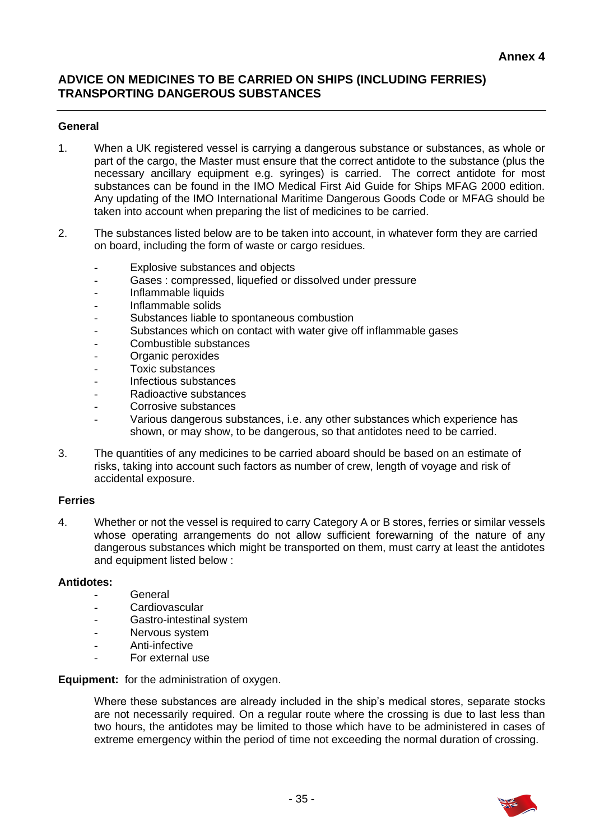## **ADVICE ON MEDICINES TO BE CARRIED ON SHIPS (INCLUDING FERRIES) TRANSPORTING DANGEROUS SUBSTANCES**

### **General**

- 1. When a UK registered vessel is carrying a dangerous substance or substances, as whole or part of the cargo, the Master must ensure that the correct antidote to the substance (plus the necessary ancillary equipment e.g. syringes) is carried. The correct antidote for most substances can be found in the IMO Medical First Aid Guide for Ships MFAG 2000 edition. Any updating of the IMO International Maritime Dangerous Goods Code or MFAG should be taken into account when preparing the list of medicines to be carried.
- 2. The substances listed below are to be taken into account, in whatever form they are carried on board, including the form of waste or cargo residues.
	- Explosive substances and objects
	- Gases : compressed, liquefied or dissolved under pressure
	- Inflammable liquids
	- Inflammable solids
	- Substances liable to spontaneous combustion
	- Substances which on contact with water give off inflammable gases
	- Combustible substances
	- Organic peroxides
	- Toxic substances
	- Infectious substances
	- Radioactive substances
	- Corrosive substances
	- shown, or may show, to be dangerous, so that antidotes need to be carried. Various dangerous substances, i.e. any other substances which experience has
- 3. The quantities of any medicines to be carried aboard should be based on an estimate of risks, taking into account such factors as number of crew, length of voyage and risk of accidental exposure.

#### **Ferries**

 4. Whether or not the vessel is required to carry Category A or B stores, ferries or similar vessels whose operating arrangements do not allow sufficient forewarning of the nature of any dangerous substances which might be transported on them, must carry at least the antidotes and equipment listed below :

#### **Antidotes:**

- **General**
- **Cardiovascular**
- Gastro-intestinal system
- Nervous system
- Anti-infective
- For external use

 **Equipment:** for the administration of oxygen.

 Where these substances are already included in the ship's medical stores, separate stocks are not necessarily required. On a regular route where the crossing is due to last less than two hours, the antidotes may be limited to those which have to be administered in cases of extreme emergency within the period of time not exceeding the normal duration of crossing.

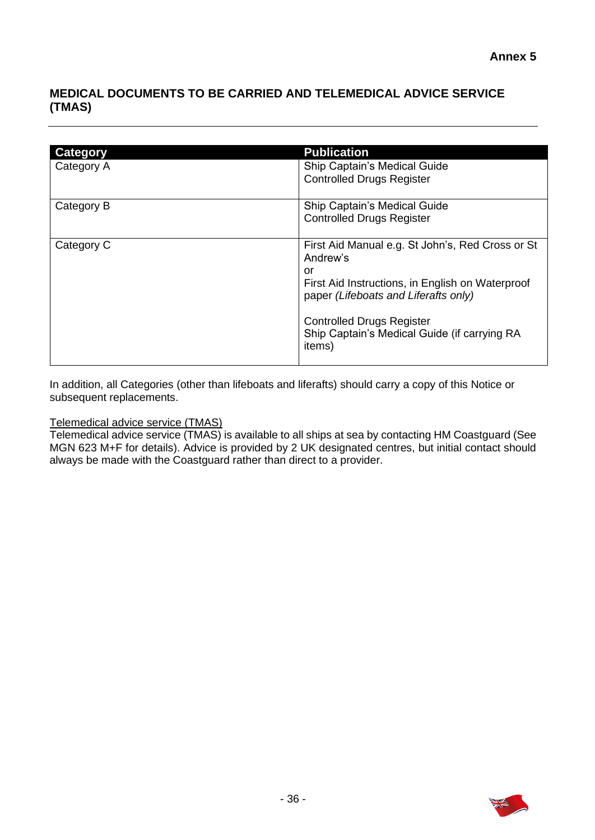## **MEDICAL DOCUMENTS TO BE CARRIED AND TELEMEDICAL ADVICE SERVICE (TMAS)**

| Category   | <b>Publication</b>                                                                         |
|------------|--------------------------------------------------------------------------------------------|
| Category A | Ship Captain's Medical Guide                                                               |
|            | <b>Controlled Drugs Register</b>                                                           |
| Category B | Ship Captain's Medical Guide                                                               |
|            | <b>Controlled Drugs Register</b>                                                           |
| Category C | First Aid Manual e.g. St John's, Red Cross or St<br>Andrew's                               |
|            | or                                                                                         |
|            | First Aid Instructions, in English on Waterproof<br>paper (Lifeboats and Liferafts only)   |
|            | <b>Controlled Drugs Register</b><br>Ship Captain's Medical Guide (if carrying RA<br>items) |

 In addition, all Categories (other than lifeboats and liferafts) should carry a copy of this Notice or subsequent replacements.

Telemedical advice service (TMAS)

 Telemedical advice service (TMAS) is available to all ships at sea by contacting HM Coastguard (See MGN 623 M+F for details). Advice is provided by 2 UK designated centres, but initial contact should always be made with the Coastguard rather than direct to a provider.

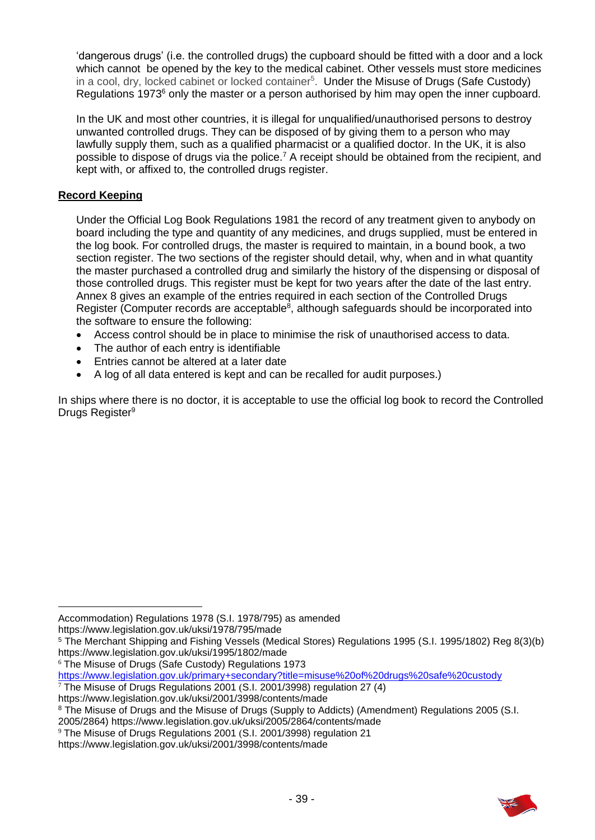'dangerous drugs' (i.e. the controlled drugs) the cupboard should be fitted with a door and a lock which cannot be opened by the key to the medical cabinet. Other vessels must store medicines in a cool, dry, locked cabinet or locked container<sup>5</sup>. Under the Misuse of Drugs (Safe Custody) Regulations 1973<sup>6</sup> only the master or a person authorised by him may open the inner cupboard.

 In the UK and most other countries, it is illegal for unqualified/unauthorised persons to destroy unwanted controlled drugs. They can be disposed of by giving them to a person who may lawfully supply them, such as a qualified pharmacist or a qualified doctor. In the UK, it is also possible to dispose of drugs via the police.<sup>7</sup> A receipt should be obtained from the recipient, and kept with, or affixed to, the controlled drugs register.

### **Record Keeping**

Under the Official Log Book Regulations 1981 the record of any treatment given to anybody on board including the type and quantity of any medicines, and drugs supplied, must be entered in the log book. For controlled drugs, the master is required to maintain, in a bound book, a two section register. The two sections of the register should detail, why, when and in what quantity the master purchased a controlled drug and similarly the history of the dispensing or disposal of those controlled drugs. This register must be kept for two years after the date of the last entry. Annex 8 gives an example of the entries required in each section of the Controlled Drugs Register (Computer records are acceptable<sup>8</sup>, although safeguards should be incorporated into the software to ensure the following:

- Access control should be in place to minimise the risk of unauthorised access to data.
- The author of each entry is identifiable
- Entries cannot be altered at a later date
- A log of all data entered is kept and can be recalled for audit purposes.)

 In ships where there is no doctor, it is acceptable to use the official log book to record the Controlled Drugs Register<sup>9</sup>

<https://www.legislation.gov.uk/uksi/1978/795/made>

<sup>6</sup>The Misuse of Drugs (Safe Custody) Regulations 1973

<https://www.legislation.gov.uk/primary+secondary?title=misuse%20of%20drugs%20safe%20custody>

<sup>7</sup>The Misuse of Drugs Regulations 2001 (S.I. 2001/3998) regulation 27 (4) <https://www.legislation.gov.uk/uksi/2001/3998/contents/made>

2005/2864) <https://www.legislation.gov.uk/uksi/2005/2864/contents/made>



Accommodation) Regulations 1978 (S.I. 1978/795) as amended

<sup>5</sup> The Merchant Shipping and Fishing Vessels (Medical Stores) Regulations 1995 (S.I. 1995/1802) Reg 8(3)(b) <https://www.legislation.gov.uk/uksi/1995/1802/made>

<sup>&</sup>lt;sup>8</sup> The Misuse of Drugs and the Misuse of Drugs (Supply to Addicts) (Amendment) Regulations 2005 (S.I.

<sup>9</sup>The Misuse of Drugs Regulations 2001 (S.I. 2001/3998) regulation 21

<https://www.legislation.gov.uk/uksi/2001/3998/contents/made>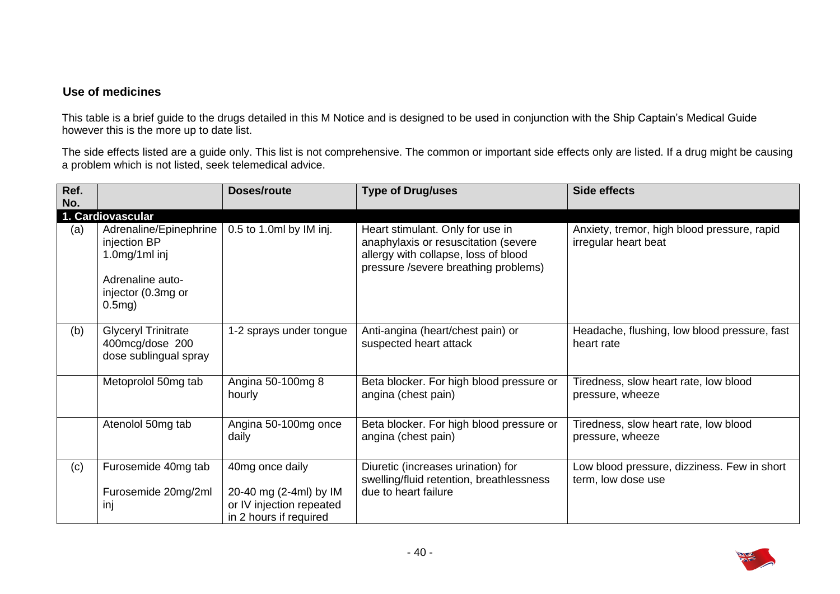### **Use of medicines**

 This table is a brief guide to the drugs detailed in this M Notice and is designed to be used in conjunction with the Ship Captain's Medical Guide however this is the more up to date list.

The side effects listed are a guide only. This list is not comprehensive. The common or important side effects only are listed. If a drug might be causing a problem which is not listed, seek telemedical advice.

| Ref.<br>No. |                                                                                                                   | Doses/route                                                                                     | <b>Type of Drug/uses</b>                                                                                                                                 | <b>Side effects</b>                                                 |
|-------------|-------------------------------------------------------------------------------------------------------------------|-------------------------------------------------------------------------------------------------|----------------------------------------------------------------------------------------------------------------------------------------------------------|---------------------------------------------------------------------|
|             | 1. Cardiovascular                                                                                                 |                                                                                                 |                                                                                                                                                          |                                                                     |
| (a)         | Adrenaline/Epinephrine<br>injection BP<br>$1.0$ mg/1ml inj<br>Adrenaline auto-<br>injector (0.3mg or<br>$0.5mg$ ) | 0.5 to 1.0ml by IM inj.                                                                         | Heart stimulant. Only for use in<br>anaphylaxis or resuscitation (severe<br>allergy with collapse, loss of blood<br>pressure /severe breathing problems) | Anxiety, tremor, high blood pressure, rapid<br>irregular heart beat |
| (b)         | <b>Glyceryl Trinitrate</b><br>400mcg/dose 200<br>dose sublingual spray                                            | 1-2 sprays under tongue                                                                         | Anti-angina (heart/chest pain) or<br>suspected heart attack                                                                                              | Headache, flushing, low blood pressure, fast<br>heart rate          |
|             | Metoprolol 50mg tab                                                                                               | Angina 50-100mg 8<br>hourly                                                                     | Beta blocker. For high blood pressure or<br>angina (chest pain)                                                                                          | Tiredness, slow heart rate, low blood<br>pressure, wheeze           |
|             | Atenolol 50mg tab                                                                                                 | Angina 50-100mg once<br>daily                                                                   | Beta blocker. For high blood pressure or<br>angina (chest pain)                                                                                          | Tiredness, slow heart rate, low blood<br>pressure, wheeze           |
| (c)         | Furosemide 40mg tab<br>Furosemide 20mg/2ml<br>inj                                                                 | 40mg once daily<br>20-40 mg (2-4ml) by IM<br>or IV injection repeated<br>in 2 hours if required | Diuretic (increases urination) for<br>swelling/fluid retention, breathlessness<br>due to heart failure                                                   | Low blood pressure, dizziness. Few in short<br>term, low dose use   |

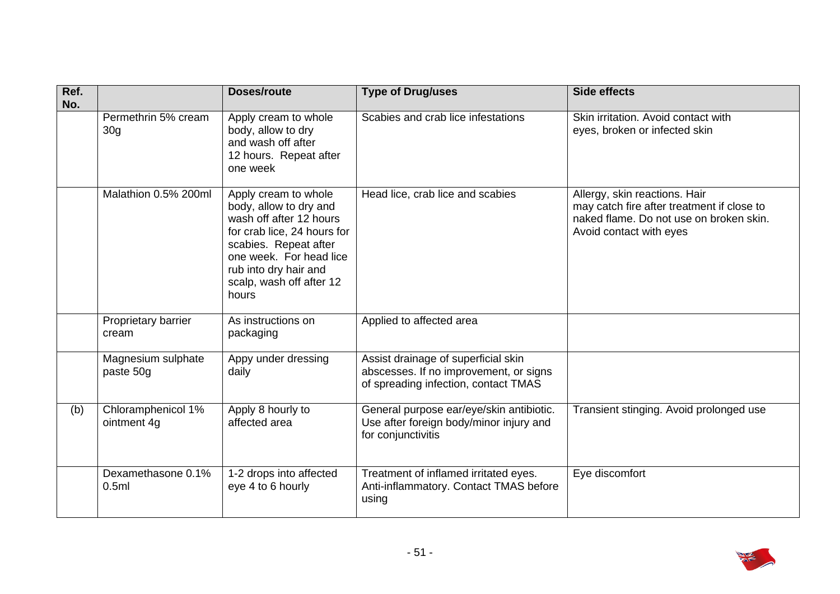| Ref.<br>No. |                                        | Doses/route                                                                                                                                                                                                                | <b>Type of Drug/uses</b>                                                                                              | <b>Side effects</b>                                                                                                                               |
|-------------|----------------------------------------|----------------------------------------------------------------------------------------------------------------------------------------------------------------------------------------------------------------------------|-----------------------------------------------------------------------------------------------------------------------|---------------------------------------------------------------------------------------------------------------------------------------------------|
|             | Permethrin 5% cream<br>30 <sub>g</sub> | Apply cream to whole<br>body, allow to dry<br>and wash off after<br>12 hours. Repeat after<br>one week                                                                                                                     | Scabies and crab lice infestations                                                                                    | Skin irritation. Avoid contact with<br>eyes, broken or infected skin                                                                              |
|             | Malathion 0.5% 200ml                   | Apply cream to whole<br>body, allow to dry and<br>wash off after 12 hours<br>for crab lice, 24 hours for<br>scabies. Repeat after<br>one week. For head lice<br>rub into dry hair and<br>scalp, wash off after 12<br>hours | Head lice, crab lice and scabies                                                                                      | Allergy, skin reactions. Hair<br>may catch fire after treatment if close to<br>naked flame. Do not use on broken skin.<br>Avoid contact with eyes |
|             | Proprietary barrier<br>cream           | As instructions on<br>packaging                                                                                                                                                                                            | Applied to affected area                                                                                              |                                                                                                                                                   |
|             | Magnesium sulphate<br>paste 50g        | Appy under dressing<br>daily                                                                                                                                                                                               | Assist drainage of superficial skin<br>abscesses. If no improvement, or signs<br>of spreading infection, contact TMAS |                                                                                                                                                   |
| (b)         | Chloramphenicol 1%<br>ointment 4g      | Apply 8 hourly to<br>affected area                                                                                                                                                                                         | General purpose ear/eye/skin antibiotic.<br>Use after foreign body/minor injury and<br>for conjunctivitis             | Transient stinging. Avoid prolonged use                                                                                                           |
|             | Dexamethasone 0.1%<br>0.5ml            | 1-2 drops into affected<br>eye 4 to 6 hourly                                                                                                                                                                               | Treatment of inflamed irritated eyes.<br>Anti-inflammatory. Contact TMAS before<br>using                              | Eye discomfort                                                                                                                                    |

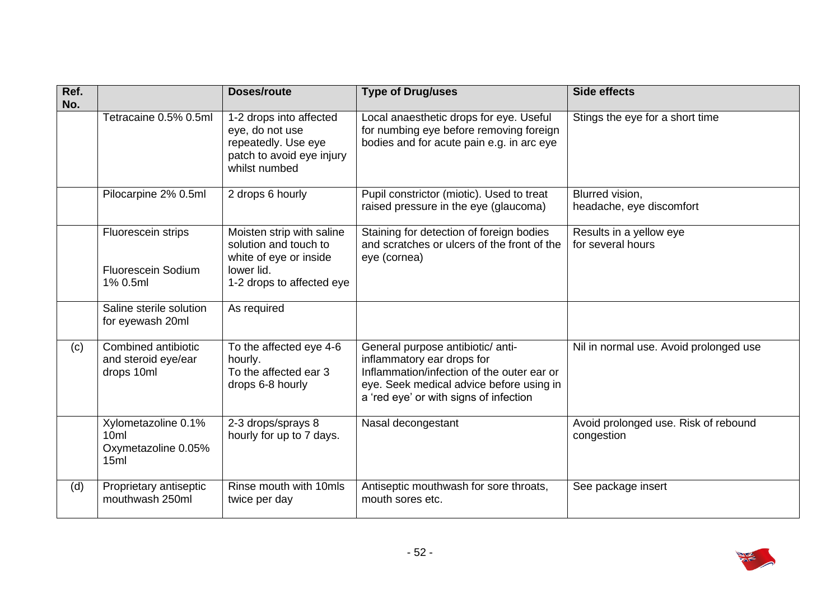| Ref.<br>No. |                                                             | Doses/route                                                                                                             | <b>Type of Drug/uses</b>                                                                                                                                                                            | <b>Side effects</b>                                |
|-------------|-------------------------------------------------------------|-------------------------------------------------------------------------------------------------------------------------|-----------------------------------------------------------------------------------------------------------------------------------------------------------------------------------------------------|----------------------------------------------------|
|             | Tetracaine 0.5% 0.5ml                                       | 1-2 drops into affected<br>eye, do not use<br>repeatedly. Use eye<br>patch to avoid eye injury<br>whilst numbed         | Local anaesthetic drops for eye. Useful<br>for numbing eye before removing foreign<br>bodies and for acute pain e.g. in arc eye                                                                     | Stings the eye for a short time                    |
|             | Pilocarpine 2% 0.5ml                                        | 2 drops 6 hourly                                                                                                        | Pupil constrictor (miotic). Used to treat<br>raised pressure in the eye (glaucoma)                                                                                                                  | Blurred vision,<br>headache, eye discomfort        |
|             | Fluorescein strips<br><b>Fluorescein Sodium</b><br>1% 0.5ml | Moisten strip with saline<br>solution and touch to<br>white of eye or inside<br>lower lid.<br>1-2 drops to affected eye | Staining for detection of foreign bodies<br>and scratches or ulcers of the front of the<br>eye (cornea)                                                                                             | Results in a yellow eye<br>for several hours       |
|             | Saline sterile solution<br>for eyewash 20ml                 | As required                                                                                                             |                                                                                                                                                                                                     |                                                    |
| (c)         | Combined antibiotic<br>and steroid eye/ear<br>drops 10ml    | To the affected eye 4-6<br>hourly.<br>To the affected ear 3<br>drops 6-8 hourly                                         | General purpose antibiotic/ anti-<br>inflammatory ear drops for<br>Inflammation/infection of the outer ear or<br>eye. Seek medical advice before using in<br>a 'red eye' or with signs of infection | Nil in normal use. Avoid prolonged use             |
|             | Xylometazoline 0.1%<br>10ml<br>Oxymetazoline 0.05%<br>15ml  | 2-3 drops/sprays 8<br>hourly for up to 7 days.                                                                          | Nasal decongestant                                                                                                                                                                                  | Avoid prolonged use. Risk of rebound<br>congestion |
| (d)         | Proprietary antiseptic<br>mouthwash 250ml                   | Rinse mouth with 10mls<br>twice per day                                                                                 | Antiseptic mouthwash for sore throats,<br>mouth sores etc.                                                                                                                                          | See package insert                                 |

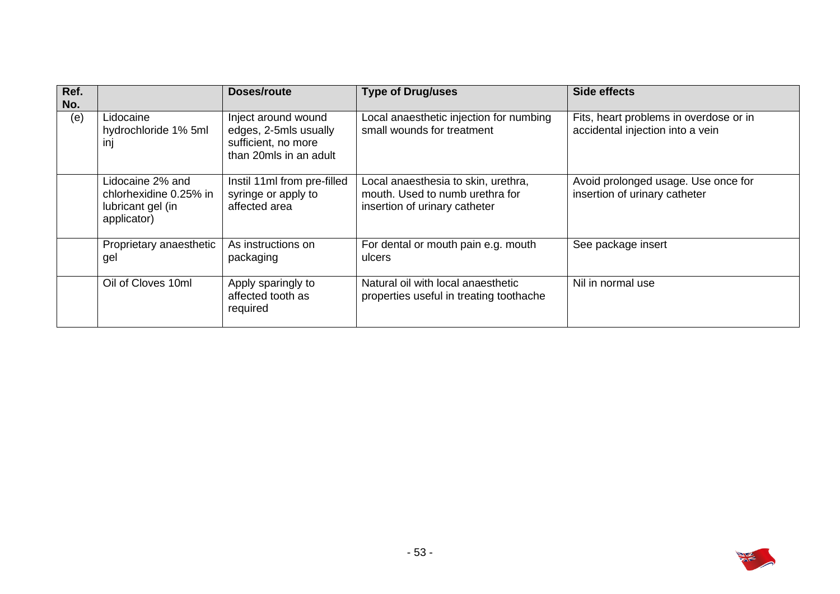| Ref.<br>No. |                                                                                | Doses/route                                                                                   | <b>Type of Drug/uses</b>                                                                                | Side effects                                                               |
|-------------|--------------------------------------------------------------------------------|-----------------------------------------------------------------------------------------------|---------------------------------------------------------------------------------------------------------|----------------------------------------------------------------------------|
| (e)         | Lidocaine<br>hydrochloride 1% 5ml<br>inj                                       | Inject around wound<br>edges, 2-5mls usually<br>sufficient, no more<br>than 20mls in an adult | Local anaesthetic injection for numbing<br>small wounds for treatment                                   | Fits, heart problems in overdose or in<br>accidental injection into a vein |
|             | Lidocaine 2% and<br>chlorhexidine 0.25% in<br>lubricant gel (in<br>applicator) | Instil 11ml from pre-filled<br>syringe or apply to<br>affected area                           | Local anaesthesia to skin, urethra,<br>mouth. Used to numb urethra for<br>insertion of urinary catheter | Avoid prolonged usage. Use once for<br>insertion of urinary catheter       |
|             | Proprietary anaesthetic<br>gel                                                 | As instructions on<br>packaging                                                               | For dental or mouth pain e.g. mouth<br>ulcers                                                           | See package insert                                                         |
|             | Oil of Cloves 10ml                                                             | Apply sparingly to<br>affected tooth as<br>required                                           | Natural oil with local anaesthetic<br>properties useful in treating toothache                           | Nil in normal use                                                          |

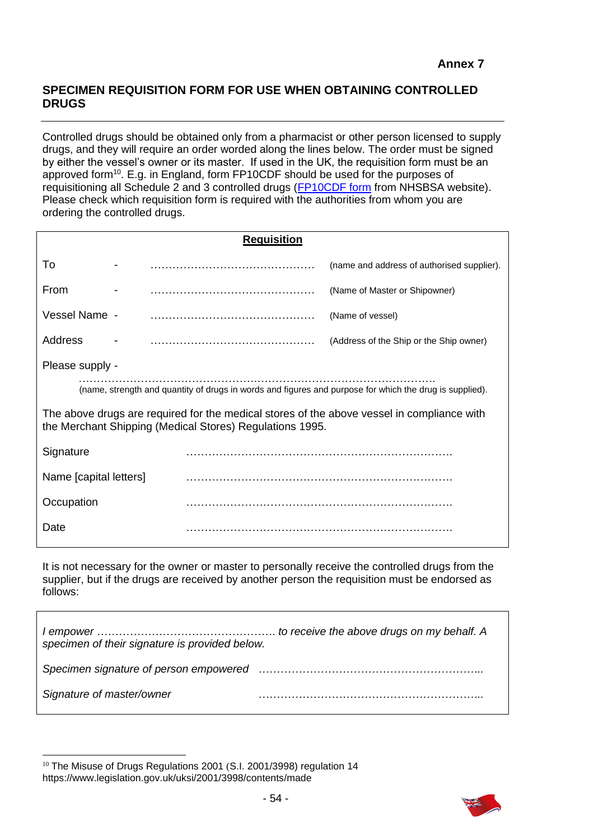## **SPECIMEN REQUISITION FORM FOR USE WHEN OBTAINING CONTROLLED DRUGS**

 Controlled drugs should be obtained only from a pharmacist or other person licensed to supply drugs, and they will require an order worded along the lines below. The order must be signed by either the vessel's owner or its master. If used in the UK, the requisition form must be an approved form<sup>10</sup>. E.g. in England, form FP10CDF should be used for the purposes of requisitioning all Schedule 2 and 3 controlled drugs [\(FP10CDF form](https://www.nhsbsa.nhs.uk/sites/default/files/2017-03/6-1387-Form_FP10CDF_v5_final.pdf) from NHSBSA website). Please check which requisition form is required with the authorities from whom you are ordering the controlled drugs.

| <b>Requisition</b>                                                                                                                                     |                 |  |                                            |  |  |  |
|--------------------------------------------------------------------------------------------------------------------------------------------------------|-----------------|--|--------------------------------------------|--|--|--|
| To                                                                                                                                                     |                 |  | (name and address of authorised supplier). |  |  |  |
| From                                                                                                                                                   |                 |  | (Name of Master or Shipowner)              |  |  |  |
| Vessel Name -                                                                                                                                          |                 |  | (Name of vessel)                           |  |  |  |
| Address                                                                                                                                                |                 |  | (Address of the Ship or the Ship owner)    |  |  |  |
|                                                                                                                                                        | Please supply - |  |                                            |  |  |  |
| (name, strength and quantity of drugs in words and figures and purpose for which the drug is supplied).                                                |                 |  |                                            |  |  |  |
| The above drugs are required for the medical stores of the above vessel in compliance with<br>the Merchant Shipping (Medical Stores) Regulations 1995. |                 |  |                                            |  |  |  |
| Signature                                                                                                                                              |                 |  |                                            |  |  |  |
| Name [capital letters]                                                                                                                                 |                 |  |                                            |  |  |  |
| Occupation                                                                                                                                             |                 |  |                                            |  |  |  |
| Date                                                                                                                                                   |                 |  |                                            |  |  |  |

 It is not necessary for the owner or master to personally receive the controlled drugs from the supplier, but if the drugs are received by another person the requisition must be endorsed as follows:

| specimen of their signature is provided below. |  |
|------------------------------------------------|--|
|                                                |  |
| Signature of master/owner                      |  |



<sup>&</sup>lt;sup>10</sup> The Misuse of Drugs Regulations 2001 (S.I. 2001/3998) regulation 14 <https://www.legislation.gov.uk/uksi/2001/3998/contents/made>